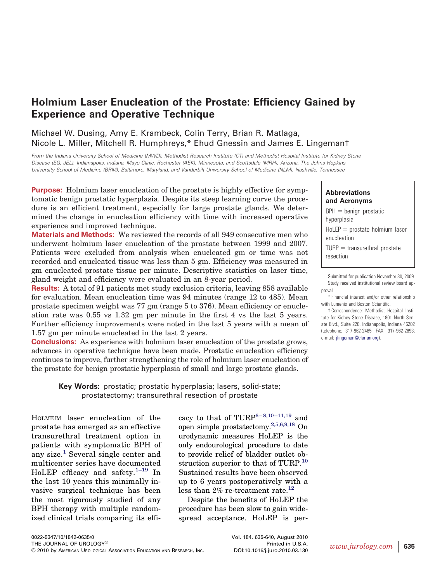# **Holmium Laser Enucleation of the Prostate: Efficiency Gained by Experience and Operative Technique**

Michael W. Dusing, Amy E. Krambeck, Colin Terry, Brian R. Matlaga, Nicole L. Miller, Mitchell R. Humphreys,\* Ehud Gnessin and James E. Lingeman†

*From the Indiana University School of Medicine (MWD), Methodist Research Institute (CT) and Methodist Hospital Institute for Kidney Stone Disease (EG, JEL), Indianapolis, Indiana, Mayo Clinic, Rochester (AEK), Minnesota, and Scottsdale (MRH), Arizona, The Johns Hopkins University School of Medicine (BRM), Baltimore, Maryland, and Vanderbilt University School of Medicine (NLM), Nashville, Tennessee*

**Purpose:** Holmium laser enucleation of the prostate is highly effective for symptomatic benign prostatic hyperplasia. Despite its steep learning curve the procedure is an efficient treatment, especially for large prostate glands. We determined the change in enucleation efficiency with time with increased operative experience and improved technique.

**Materials and Methods:** We reviewed the records of all 949 consecutive men who underwent holmium laser enucleation of the prostate between 1999 and 2007. Patients were excluded from analysis when enucleated gm or time was not recorded and enucleated tissue was less than 5 gm. Efficiency was measured in gm enucleated prostate tissue per minute. Descriptive statistics on laser time, gland weight and efficiency were evaluated in an 8-year period.

**Results:** A total of 91 patients met study exclusion criteria, leaving 858 available for evaluation. Mean enucleation time was 94 minutes (range 12 to 485). Mean prostate specimen weight was 77 gm (range 5 to 376). Mean efficiency or enucleation rate was 0.55 vs 1.32 gm per minute in the first 4 vs the last 5 years. Further efficiency improvements were noted in the last 5 years with a mean of 1.57 gm per minute enucleated in the last 2 years.

**Conclusions:** As experience with holmium laser enucleation of the prostate grows, advances in operative technique have been made. Prostatic enucleation efficiency continues to improve, further strengthening the role of holmium laser enucleation of the prostate for benign prostatic hyperplasia of small and large prostate glands.

**Key Words:** prostatic; prostatic hyperplasia; lasers, solid-state; prostatectomy; transurethral resection of prostate

HOLMIUM laser enucleation of the prostate has emerged as an effective transurethral treatment option in patients with symptomatic BPH of any size.<sup>[1](#page-4-0)</sup> Several single center and multicenter series have documented HoLEP efficacy and safety. $1-19$  In the last 10 years this minimally invasive surgical technique has been the most rigorously studied of any BPH therapy with multiple randomized clinical trials comparing its effi-

cacy to that of  $TURP^{6-8,10-11,19}$  and open simple prostatectomy[.2,5,6,9,18](#page-4-0) On urodynamic measures HoLEP is the only endourological procedure to date to provide relief of bladder outlet ob-struction superior to that of TURP.<sup>[10](#page-4-0)</sup> Sustained results have been observed up to 6 years postoperatively with a less than 2% re-treatment rate.<sup>[12](#page-4-0)</sup>

Despite the benefits of HoLEP the procedure has been slow to gain widespread acceptance. HoLEP is per-

#### **Abbreviations and Acronyms**

 $BPH =$  benign prostatic hyperplasia

 $HoLEP =$  prostate holmium laser enucleation

 $TURP = transurethral prostate$ resection

#### Submitted for publication November 30, 2009. Study received institutional review board approval.

\* Financial interest and/or other relationship with Lumenis and Boston Scientific.

† Correspondence: Methodist Hospital Institute for Kidney Stone Disease, 1801 North Senate Blvd., Suite 220, Indianapolis, Indiana 46202 (telephone: 317-962-2485; FAX: 317-962-2893; e-mail: [jlingeman@clarian.org\)](mailto:jlingeman@clarian.org).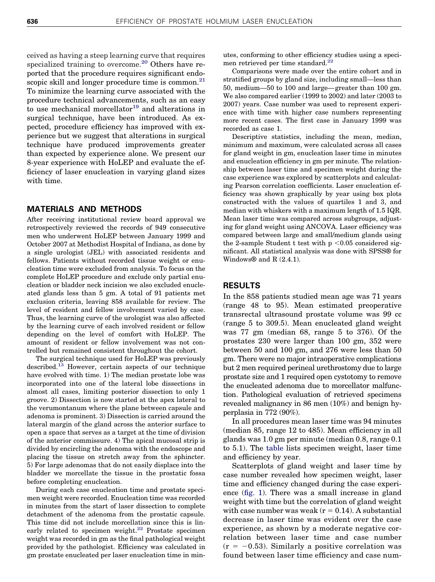ceived as having a steep learning curve that requires specialized training to overcome.<sup>[20](#page-4-0)</sup> Others have reported that the procedure requires significant endoscopic skill and longer procedure time is common. $21$ To minimize the learning curve associated with the procedure technical advancements, such as an easy to use mechanical morcellator $19$  and alterations in surgical technique, have been introduced. As expected, procedure efficiency has improved with experience but we suggest that alterations in surgical technique have produced improvements greater than expected by experience alone. We present our 8-year experience with HoLEP and evaluate the efficiency of laser enucleation in varying gland sizes with time.

### **MATERIALS AND METHODS**

After receiving institutional review board approval we retrospectively reviewed the records of 949 consecutive men who underwent HoLEP between January 1999 and October 2007 at Methodist Hospital of Indiana, as done by a single urologist (JEL) with associated residents and fellows. Patients without recorded tissue weight or enucleation time were excluded from analysis. To focus on the complete HoLEP procedure and exclude only partial enucleation or bladder neck incision we also excluded enucleated glands less than 5 gm. A total of 91 patients met exclusion criteria, leaving 858 available for review. The level of resident and fellow involvement varied by case. Thus, the learning curve of the urologist was also affected by the learning curve of each involved resident or fellow depending on the level of comfort with HoLEP. The amount of resident or fellow involvement was not controlled but remained consistent throughout the cohort.

The surgical technique used for HoLEP was previously described[.13](#page-4-0) However, certain aspects of our technique have evolved with time. 1) The median prostate lobe was incorporated into one of the lateral lobe dissections in almost all cases, limiting posterior dissection to only 1 groove. 2) Dissection is now started at the apex lateral to the verumontanum where the plane between capsule and adenoma is prominent. 3) Dissection is carried around the lateral margin of the gland across the anterior surface to open a space that serves as a target at the time of division of the anterior commissure. 4) The apical mucosal strip is divided by encircling the adenoma with the endoscope and placing the tissue on stretch away from the sphincter. 5) For large adenomas that do not easily displace into the bladder we morcellate the tissue in the prostatic fossa before completing enucleation.

During each case enucleation time and prostate specimen weight were recorded. Enucleation time was recorded in minutes from the start of laser dissection to complete detachment of the adenoma from the prostatic capsule. This time did not include morcellation since this is linearly related to specimen weight. $22$  Prostate specimen weight was recorded in gm as the final pathological weight provided by the pathologist. Efficiency was calculated in gm prostate enucleated per laser enucleation time in minutes, conforming to other efficiency studies using a specimen retrieved per time standard.<sup>22</sup>

Comparisons were made over the entire cohort and in stratified groups by gland size, including small—less than 50, medium—50 to 100 and large— greater than 100 gm. We also compared earlier (1999 to 2002) and later (2003 to 2007) years. Case number was used to represent experience with time with higher case numbers representing more recent cases. The first case in January 1999 was recorded as case 1.

Descriptive statistics, including the mean, median, minimum and maximum, were calculated across all cases for gland weight in gm, enucleation laser time in minutes and enucleation efficiency in gm per minute. The relationship between laser time and specimen weight during the case experience was explored by scatterplots and calculating Pearson correlation coefficients. Laser enucleation efficiency was shown graphically by year using box plots constructed with the values of quartiles 1 and 3, and median with whiskers with a maximum length of 1.5 IQR. Mean laser time was compared across subgroups, adjusting for gland weight using ANCOVA. Laser efficiency was compared between large and small/medium glands using the 2-sample Student t test with  $p < 0.05$  considered significant. All statistical analysis was done with SPSS® for Windows® and R (2.4.1).

#### **RESULTS**

In the 858 patients studied mean age was 71 years (range 48 to 95). Mean estimated preoperative transrectal ultrasound prostate volume was 99 cc (range 5 to 309.5). Mean enucleated gland weight was 77 gm (median 68, range 5 to 376). Of the prostates 230 were larger than 100 gm, 352 were between 50 and 100 gm, and 276 were less than 50 gm. There were no major intraoperative complications but 2 men required perineal urethrostomy due to large prostate size and 1 required open cystotomy to remove the enucleated adenoma due to morcellator malfunction. Pathological evaluation of retrieved specimens revealed malignancy in 86 men (10%) and benign hyperplasia in 772 (90%).

In all procedures mean laser time was 94 minutes (median 85, range 12 to 485). Mean efficiency in all glands was 1.0 gm per minute (median 0.8, range 0.1 to 5.1). The [table](#page-2-0) lists specimen weight, laser time and efficiency by year.

Scatterplots of gland weight and laser time by case number revealed how specimen weight, laser time and efficiency changed during the case experience [\(fig. 1\)](#page-2-0). There was a small increase in gland weight with time but the correlation of gland weight with case number was weak  $(r = 0.14)$ . A substantial decrease in laser time was evident over the case experience, as shown by a moderate negative correlation between laser time and case number  $(r = -0.53)$ . Similarly a positive correlation was found between laser time efficiency and case num-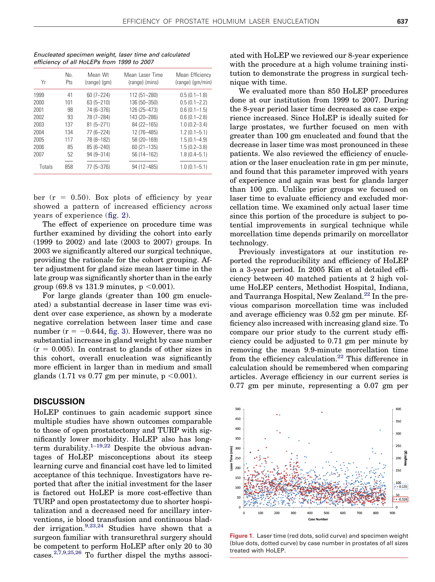| Yr     | No.<br>Pts | Mean Wt<br>(range) (gm) | Mean Laser Time<br>(range) (mins) | Mean Efficiency<br>(range) (gm/min) |
|--------|------------|-------------------------|-----------------------------------|-------------------------------------|
| 1999   | 41         | $60(7 - 224)$           | 112 (51-280)                      | $0.5(0.1-1.8)$                      |
| 2000   | 101        | $63(5 - 210)$           | 136 (50-350)                      | $0.5(0.1 - 2.2)$                    |
| 2001   | 98         | 74 (6-376)              | 126 (25-473)                      | $0.6(0.1-1.5)$                      |
| 2002   | 93         | 78 (7-284)              | 143 (20-286)                      | $0.6(0.1 - 2.8)$                    |
| 2003   | 137        | $81(5 - 271)$           | 84 (22-165)                       | $1.0(0.2 - 3.4)$                    |
| 2004   | 134        | 77 (6-224)              | 12 (76-485)                       | $1.2(0.1 - 5.1)$                    |
| 2005   | 117        | 78 (8-182)              | 58 (20-169)                       | $1.5(0.1 - 4.9)$                    |
| 2006   | 85         | 85 (6-240)              | $60(21 - 135)$                    | $1.5(0.2 - 3.8)$                    |
| 2007   | 52         | 94 (9-314)              | 56 (14-162)                       | $1.8(0.4 - 5.1)$                    |
| Totals | 858        | 77 (5-376)              | 94 (12 - 485)                     | $1.0(0.1 - 5.1)$                    |

<span id="page-2-0"></span>*Enucleated specimen weight, laser time and calculated efficiency of all HoLEPs from 1999 to 2007*

ber  $(r = 0.50)$ . Box plots of efficiency by year showed a pattern of increased efficiency across years of experience [\(fig. 2\)](#page-3-0).

The effect of experience on procedure time was further examined by dividing the cohort into early (1999 to 2002) and late (2003 to 2007) groups. In 2003 we significantly altered our surgical technique, providing the rationale for the cohort grouping. After adjustment for gland size mean laser time in the late group was significantly shorter than in the early group  $(69.8 \text{ vs } 131.9 \text{ minutes}, \text{ p } < 0.001)$ .

For large glands (greater than 100 gm enucleated) a substantial decrease in laser time was evident over case experience, as shown by a moderate negative correlation between laser time and case number ( $r = -0.644$ , [fig. 3\)](#page-3-0). However, there was no substantial increase in gland weight by case number  $(r = 0.005)$ . In contrast to glands of other sizes in this cohort, overall enucleation was significantly more efficient in larger than in medium and small glands  $(1.71 \text{ vs } 0.77 \text{ gm per minute}, p \leq 0.001)$ .

#### **DISCUSSION**

HoLEP continues to gain academic support since multiple studies have shown outcomes comparable to those of open prostatectomy and TURP with significantly lower morbidity. HoLEP also has long-term durability.<sup>[1–19,22](#page-4-0)</sup> Despite the obvious advantages of HoLEP misconceptions about its steep learning curve and financial cost have led to limited acceptance of this technique. Investigators have reported that after the initial investment for the laser is factored out HoLEP is more cost-effective than TURP and open prostatectomy due to shorter hospitalization and a decreased need for ancillary interventions, ie blood transfusion and continuous blad-der irrigation.<sup>[9,23,24](#page-4-0)</sup> Studies have shown that a surgeon familiar with transurethral surgery should be competent to perform HoLEP after only 20 to 30 cases.<sup>[2,7,9,25,26](#page-4-0)</sup> To further dispel the myths associated with HoLEP we reviewed our 8-year experience with the procedure at a high volume training institution to demonstrate the progress in surgical technique with time.

We evaluated more than 850 HoLEP procedures done at our institution from 1999 to 2007. During the 8-year period laser time decreased as case experience increased. Since HoLEP is ideally suited for large prostates, we further focused on men with greater than 100 gm enucleated and found that the decrease in laser time was most pronounced in these patients. We also reviewed the efficiency of enucleation or the laser enucleation rate in gm per minute, and found that this parameter improved with years of experience and again was best for glands larger than 100 gm. Unlike prior groups we focused on laser time to evaluate efficiency and excluded morcellation time. We examined only actual laser time since this portion of the procedure is subject to potential improvements in surgical technique while morcellation time depends primarily on morcellator technology.

Previously investigators at our institution reported the reproducibility and efficiency of HoLEP in a 3-year period. In 2005 Kim et al detailed efficiency between 40 matched patients at 2 high volume HoLEP centers, Methodist Hospital, Indiana, and Taurranga Hospital, New Zealand.<sup>22</sup> In the previous comparison morcellation time was included and average efficiency was 0.52 gm per minute. Efficiency also increased with increasing gland size. To compare our prior study to the current study efficiency could be adjusted to 0.71 gm per minute by removing the mean 9.9-minute morcellation time from the efficiency calculation[.22](#page-4-0) This difference in calculation should be remembered when comparing articles. Average efficiency in our current series is 0.77 gm per minute, representing a 0.07 gm per



**Figure 1.** Laser time (red dots, solid curve) and specimen weight (blue dots, dotted curve) by case number in prostates of all sizes treated with HoLEP.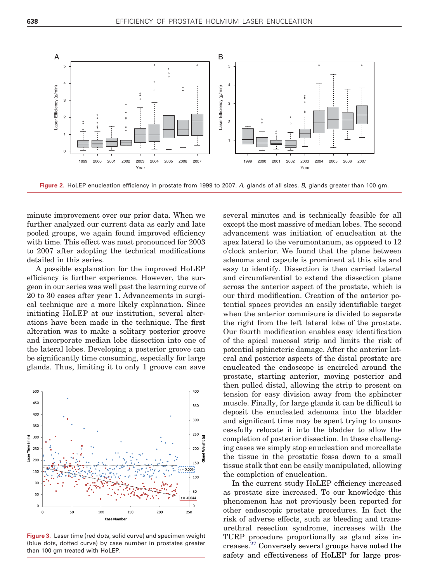<span id="page-3-0"></span>

**Figure 2.** HoLEP enucleation efficiency in prostate from 1999 to 2007. *A*, glands of all sizes. *B*, glands greater than 100 gm.

minute improvement over our prior data. When we further analyzed our current data as early and late pooled groups, we again found improved efficiency with time. This effect was most pronounced for 2003 to 2007 after adopting the technical modifications detailed in this series.

A possible explanation for the improved HoLEP efficiency is further experience. However, the surgeon in our series was well past the learning curve of 20 to 30 cases after year 1. Advancements in surgical technique are a more likely explanation. Since initiating HoLEP at our institution, several alterations have been made in the technique. The first alteration was to make a solitary posterior groove and incorporate median lobe dissection into one of the lateral lobes. Developing a posterior groove can be significantly time consuming, especially for large glands. Thus, limiting it to only 1 groove can save



**Figure 3.** Laser time (red dots, solid curve) and specimen weight (blue dots, dotted curve) by case number in prostates greater than 100 gm treated with HoLEP.

several minutes and is technically feasible for all except the most massive of median lobes. The second advancement was initiation of enucleation at the apex lateral to the verumontanum, as opposed to 12 o'clock anterior. We found that the plane between adenoma and capsule is prominent at this site and easy to identify. Dissection is then carried lateral and circumferential to extend the dissection plane across the anterior aspect of the prostate, which is our third modification. Creation of the anterior potential spaces provides an easily identifiable target when the anterior commisure is divided to separate the right from the left lateral lobe of the prostate. Our fourth modification enables easy identification of the apical mucosal strip and limits the risk of potential sphincteric damage. After the anterior lateral and posterior aspects of the distal prostate are enucleated the endoscope is encircled around the prostate, starting anterior, moving posterior and then pulled distal, allowing the strip to present on tension for easy division away from the sphincter muscle. Finally, for large glands it can be difficult to deposit the enucleated adenoma into the bladder and significant time may be spent trying to unsuccessfully relocate it into the bladder to allow the completion of posterior dissection. In these challenging cases we simply stop enucleation and morcellate the tissue in the prostatic fossa down to a small tissue stalk that can be easily manipulated, allowing the completion of enucleation.

In the current study HoLEP efficiency increased as prostate size increased. To our knowledge this phenomenon has not previously been reported for other endoscopic prostate procedures. In fact the risk of adverse effects, such as bleeding and transurethral resection syndrome, increases with the TURP procedure proportionally as gland size increases.[27](#page-5-0) Conversely several groups have noted the safety and effectiveness of HoLEP for large pros-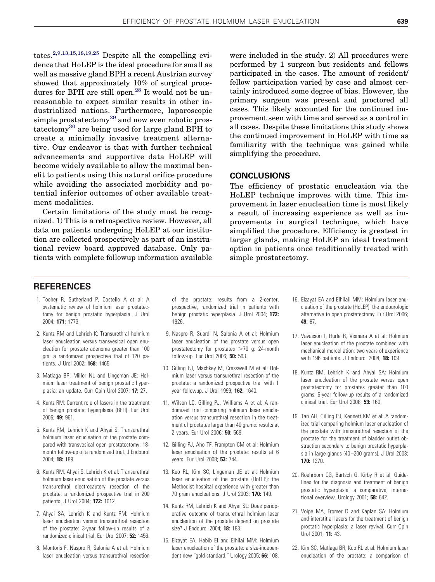<span id="page-4-0"></span>tates.2,9,13,15,18,19,25 Despite all the compelling evidence that HoLEP is the ideal procedure for small as well as massive gland BPH a recent Austrian survey showed that approximately 10% of surgical proce-dures for BPH are still open.<sup>[28](#page-5-0)</sup> It would not be unreasonable to expect similar results in other industrialized nations. Furthermore, laparoscopic simple prostatectomy<sup>[29](#page-5-0)</sup> and now even robotic pros-tatectomy<sup>[30](#page-5-0)</sup> are being used for large gland BPH to create a minimally invasive treatment alternative. Our endeavor is that with further technical advancements and supportive data HoLEP will become widely available to allow the maximal benefit to patients using this natural orifice procedure while avoiding the associated morbidity and potential inferior outcomes of other available treatment modalities.

Certain limitations of the study must be recognized. 1) This is a retrospective review. However, all data on patients undergoing HoLEP at our institution are collected prospectively as part of an institutional review board approved database. Only patients with complete followup information available were included in the study. 2) All procedures were performed by 1 surgeon but residents and fellows participated in the cases. The amount of resident/ fellow participation varied by case and almost certainly introduced some degree of bias. However, the primary surgeon was present and proctored all cases. This likely accounted for the continued improvement seen with time and served as a control in all cases. Despite these limitations this study shows the continued improvement in HoLEP with time as familiarity with the technique was gained while simplifying the procedure.

### **CONCLUSIONS**

The efficiency of prostatic enucleation via the HoLEP technique improves with time. This improvement in laser enucleation time is most likely a result of increasing experience as well as improvements in surgical technique, which have simplified the procedure. Efficiency is greatest in larger glands, making HoLEP an ideal treatment option in patients once traditionally treated with simple prostatectomy.

## **REFERENCES**

- 1. Tooher R, Sutherland P, Costello A et al: A systematic review of holmium laser prostatectomy for benign prostatic hyperplasia. J Urol 2004; **171:** 1773.
- 2. Kuntz RM and Lehrich K: Transurethral holmium laser enucleation versus transvesical open enucleation for prostate adenoma greater than 100 gm: a randomized prospective trial of 120 patients. J Urol 2002; **168:** 1465.
- 3. Matlaga BR, Miller NL and Lingeman JE: Holmium laser treatment of benign prostatic hyperplasia: an update. Curr Opin Urol 2007; **17:** 27.
- 4. Kuntz RM: Current role of lasers in the treatment of benign prostatic hyperplasia (BPH). Eur Urol 2006; **49:** 961.
- 5. Kuntz RM, Lehrich K and Ahyai S: Transurethral holmium laser enucleation of the prostate compared with transvesical open prostatectomy: 18 month follow-up of a randomized trial. J Endourol 2004; **18:** 189.
- 6. Kuntz RM, Ahyai S, Lehrich K et al: Transurethral holmium laser enucleation of the prostate versus transurethral electrocautery resection of the prostate: a randomized prospective trial in 200 patients. J Urol 2004; **172:** 1012.
- 7. Ahyai SA, Lehrich K and Kuntz RM: Holmium laser enucleation versus transurethral resection of the prostate: 3-year follow-up results of a randomized clinical trial. Eur Urol 2007; **52:** 1456.
- 8. Montoris F, Naspro R, Salonia A et al: Holmium laser enucleation versus transurethral resection

of the prostate: results from a 2-center, prospective, randomized trial in patients with benign prostatic hyperplasia. J Urol 2004; **172:** 1926.

- 9. Naspro R, Suardi N, Salonia A et al: Holmium laser enucleation of the prostate versus open prostatectomy for prostates  $>70$  g: 24-month follow-up. Eur Urol 2006; **50:** 563.
- 10. Gilling PJ, Machkey M, Cresswell M et al: Holmium laser versus transurethral resection of the prostate: a randomized prospective trial with 1 year followup. J Urol 1999; **162:** 1640.
- 11. Wilson LC, Gilling PJ, Williams A et al: A randomized trial comparing holmium laser enucleation versus transurethral resection in the treatment of prostates larger than 40 grams: results at 2 years. Eur Urol 2006; **50:** 569.
- 12. Gilling PJ, Aho TF, Frampton CM et al: Holmium laser enucleation of the prostate: results at 6 years. Eur Urol 2008; **53:** 744.
- 13. Kuo RL, Kim SC, Lingeman JE et al: Holmium laser enucleation of the prostate (HoLEP): the Methodist hospital experience with greater than 70 gram enucleations. J Urol 2003; **170:** 149.
- 14. Kuntz RM, Lehrich K and Ahyai SL: Does perioperative outcome of transurethral holmium laser enucleation of the prostate depend on prostate size? J Endourol 2004; **18:** 183.
- 15. Elzayat EA, Habib EI and Elhilai MM: Holmium laser enucleation of the prostate: a size-independent new "gold standard." Urology 2005; **66:** 108.
- 16. Elzayat EA and Elhilali MM: Holmium laser enucleation of the prostate (HoLEP): the endourologic alternative to open prostatectomy. Eur Urol 2006; **49:** 87.
- 17. Vavassori I, Hurle R, Vismara A et al: Holmium laser enucleation of the prostate combined with mechanical morcellation: two years of experience with 196 patients. J Endourol 2004; **18:** 109.
- 18. Kuntz RM, Lehrich K and Ahyai SA: Holmium laser enucleation of the prostate versus open prostatectomy for prostates greater than 100 grams: 5-year follow-up results of a randomized clinical trial. Eur Urol 2008; **53:** 160.
- 19. Tan AH, Gilling PJ, Kennett KM et al: A randomized trial comparing holmium laser enucleation of the prostate with transurethral resection of the prostate for the treatment of bladder outlet obstruction secondary to benign prostatic hyperplasia in large glands (40 –200 grams). J Urol 2003; **170:** 1270.
- 20. Roehrborn CG, Bartsch G, Kirby R et al: Guidelines for the diagnosis and treatment of benign prostatic hyperplasia: a comparative, international overview. Urology 2001; **58:** 642.
- 21. Volpe MA, Fromer D and Kaplan SA: Holmium and interstitial lasers for the treatment of benign prostatic hyperplasia: a laser revival. Curr Opin Urol 2001; **11:** 43.
- 22. Kim SC, Matlaga BR, Kuo RL et al: Holmium laser enucleation of the prostate: a comparison of